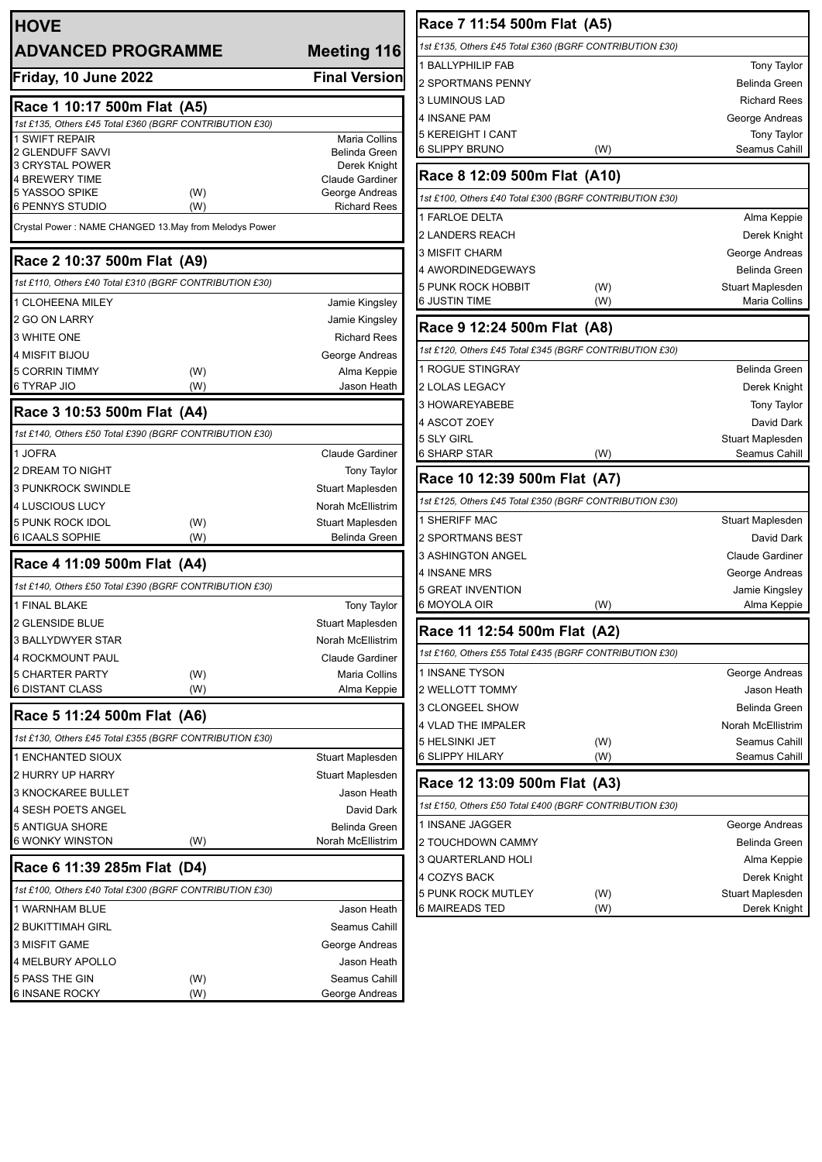| <b>HOVE</b>                                                              |            |                               |
|--------------------------------------------------------------------------|------------|-------------------------------|
| <b>ADVANCED PROGRAMME</b>                                                |            | <b>Meeting 116</b>            |
| Friday, 10 June 2022                                                     |            | <b>Final Version</b>          |
| Race 1 10:17 500m Flat (A5)                                              |            |                               |
| 1st £135, Others £45 Total £360 (BGRF CONTRIBUTION £30)                  |            |                               |
| <b>1 SWIFT REPAIR</b><br>2 GLENDUFF SAVVI                                |            | Maria Collins                 |
| <b>3 CRYSTAL POWER</b>                                                   |            | Belinda Green<br>Derek Knight |
| <b>4 BREWERY TIME</b>                                                    |            | <b>Claude Gardiner</b>        |
| 5 YASSOO SPIKE                                                           | (W)        | George Andreas                |
| 6 PENNYS STUDIO<br>Crystal Power: NAME CHANGED 13.May from Melodys Power | (W)        | <b>Richard Rees</b>           |
|                                                                          |            |                               |
| Race 2 10:37 500m Flat (A9)                                              |            |                               |
| 1st £110, Others £40 Total £310 (BGRF CONTRIBUTION £30)                  |            |                               |
| 1 CLOHEENA MILEY                                                         |            | Jamie Kingsley                |
| 2 GO ON LARRY                                                            |            | Jamie Kingsley                |
| 3 WHITE ONE                                                              |            | <b>Richard Rees</b>           |
| <b>4 MISFIT BIJOU</b>                                                    |            | George Andreas                |
| 5 CORRIN TIMMY<br>6 TYRAP JIO                                            | (W)<br>(W) | Alma Keppie<br>Jason Heath    |
| Race 3 10:53 500m Flat (A4)                                              |            |                               |
| 1st £140, Others £50 Total £390 (BGRF CONTRIBUTION £30)                  |            |                               |
| 1 JOFRA                                                                  |            | <b>Claude Gardiner</b>        |
| <b>2 DREAM TO NIGHT</b>                                                  |            | <b>Tony Taylor</b>            |
| <b>3 PUNKROCK SWINDLE</b>                                                |            | Stuart Maplesden              |
| <b>4 LUSCIOUS LUCY</b>                                                   |            | Norah McEllistrim             |
| 5 PUNK ROCK IDOL                                                         | (W)        | Stuart Maplesden              |
| 6 ICAALS SOPHIE                                                          | (W)        | <b>Belinda Green</b>          |
| Race 4 11:09 500m Flat (A4)                                              |            |                               |
| 1st £140, Others £50 Total £390 (BGRF CONTRIBUTION £30)                  |            |                               |
| 1 FINAL BLAKE                                                            |            | <b>Tony Taylor</b>            |
| 2 GLENSIDE BLUE                                                          |            | Stuart Maplesden              |
| <b>3 BALLYDWYER STAR</b>                                                 |            | <b>Norah McEllistrim</b>      |
| 4 ROCKMOUNT PAUL                                                         |            | <b>Claude Gardiner</b>        |
| <b>5 CHARTER PARTY</b>                                                   | (W)        | Maria Collins                 |
| 6 DISTANT CLASS                                                          | (W)        | Alma Keppie                   |
| Race 5 11:24 500m Flat (A6)                                              |            |                               |
| 1st £130, Others £45 Total £355 (BGRF CONTRIBUTION £30)                  |            |                               |
| <b>1 ENCHANTED SIOUX</b>                                                 |            | Stuart Maplesden              |
| 2 HURRY UP HARRY                                                         |            | Stuart Maplesden              |
| <b>3 KNOCKAREE BULLET</b>                                                |            | Jason Heath                   |
| 4 SESH POETS ANGEL                                                       |            | David Dark                    |
| 5 ANTIGUA SHORE                                                          |            | Belinda Green                 |
| 6 WONKY WINSTON                                                          | (W)        | Norah McEllistrim             |
| Race 6 11:39 285m Flat (D4)                                              |            |                               |
| 1st £100, Others £40 Total £300 (BGRF CONTRIBUTION £30)                  |            |                               |
| 1 WARNHAM BLUE                                                           |            | Jason Heath                   |
| <b>2 BUKITTIMAH GIRL</b>                                                 |            | Seamus Cahill                 |
| 3 MISFIT GAME                                                            |            | George Andreas                |
| 4 MELBURY APOLLO                                                         |            | Jason Heath                   |
| 5 PASS THE GIN                                                           | (W)        | Seamus Cahill                 |
| 6 INSANE ROCKY                                                           | (W)        | George Andreas                |

| Race 7 11:54 500m Flat (A5)                             |                        |
|---------------------------------------------------------|------------------------|
| 1st £135, Others £45 Total £360 (BGRF CONTRIBUTION £30) |                        |
| <b>1 BALLYPHILIP FAB</b>                                | <b>Tony Taylor</b>     |
| 2 SPORTMANS PENNY                                       | Belinda Green          |
| 3 LUMINOUS LAD                                          | <b>Richard Rees</b>    |
| 4 INSANE PAM                                            | George Andreas         |
| 5 KEREIGHT I CANT                                       | <b>Tony Taylor</b>     |
| 6 SLIPPY BRUNO<br>(W)                                   | Seamus Cahill          |
| Race 8 12:09 500m Flat (A10)                            |                        |
| 1st £100, Others £40 Total £300 (BGRF CONTRIBUTION £30) |                        |
| 1 FARLOE DELTA                                          | Alma Keppie            |
| 2 LANDERS REACH                                         | Derek Knight           |
| 3 MISFIT CHARM                                          | George Andreas         |
| 4 AWORDINEDGEWAYS                                       | Belinda Green          |
| 5 PUNK ROCK HOBBIT<br>(W)                               | Stuart Maplesden       |
| 6 JUSTIN TIME<br>(W)                                    | Maria Collins          |
| Race 9 12:24 500m Flat (A8)                             |                        |
| 1st £120, Others £45 Total £345 (BGRF CONTRIBUTION £30) |                        |
| 1 ROGUE STINGRAY                                        | Belinda Green          |
| 2 LOLAS LEGACY                                          | Derek Knight           |
| 3 HOWAREYABEBE                                          | Tony Taylor            |
| 4 ASCOT ZOEY                                            | David Dark             |
| 5 SLY GIRL                                              | Stuart Maplesden       |
| 6 SHARP STAR<br>(W)                                     | Seamus Cahill          |
| Race 10 12:39 500m Flat (A7)                            |                        |
| 1st £125, Others £45 Total £350 (BGRF CONTRIBUTION £30) |                        |
| 1 SHERIFF MAC                                           | Stuart Maplesden       |
| 2 SPORTMANS BEST                                        | David Dark             |
| <b>3 ASHINGTON ANGEL</b>                                | <b>Claude Gardiner</b> |
| 4 INSANE MRS                                            | George Andreas         |
| 5 GREAT INVENTION                                       | Jamie Kingsley         |
| 6 MOYOLA OIR<br>(W)                                     | Alma Keppie            |
| Race 11 12:54 500m Flat (A2)                            |                        |
| 1st £160, Others £55 Total £435 (BGRF CONTRIBUTION £30) |                        |
| 1 INSANE TYSON                                          | George Andreas         |
| 2 WELLOTT TOMMY                                         | Jason Heath            |
| 3 CLONGEEL SHOW                                         | Belinda Green          |
| 4 VLAD THE IMPALER                                      | Norah McEllistrim      |
| (W)<br>5 HELSINKI JET                                   | Seamus Cahill          |
| 6 SLIPPY HILARY<br>(W)                                  | Seamus Cahill          |
| Race 12 13:09 500m Flat (A3)                            |                        |
| 1st £150, Others £50 Total £400 (BGRF CONTRIBUTION £30) |                        |
| 1 INSANE JAGGER                                         | George Andreas         |
| 2 TOUCHDOWN CAMMY                                       | Belinda Green          |
| 3 QUARTERLAND HOLI                                      | Alma Keppie            |
| 4 COZYS BACK                                            | Derek Knight           |
| 5 PUNK ROCK MUTLEY<br>(W)                               | Stuart Maplesden       |
| 6 MAIREADS TED<br>(W)                                   | Derek Knight           |
|                                                         |                        |